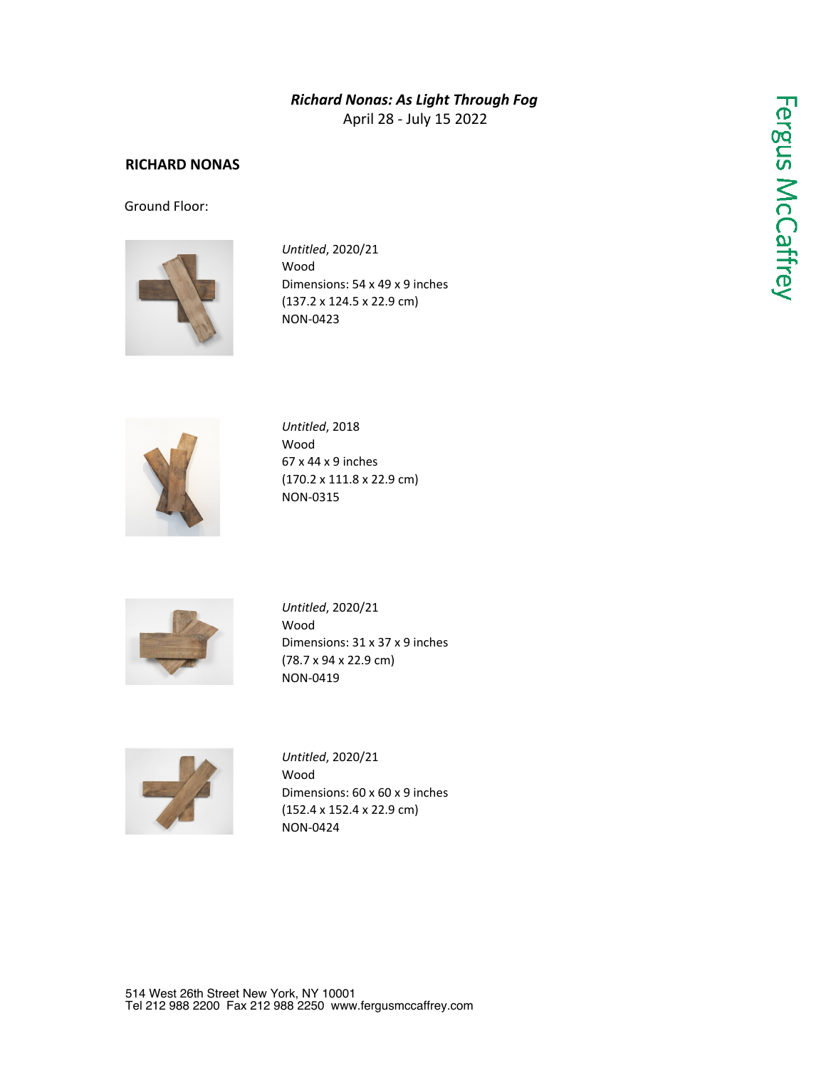## *Richard Nonas: As Light Through Fog*

April 28 - July 15 2022

## **RICHARD NONAS**

Ground Floor:



*Untitled*, 2020/21 Wood Dimensions: 54 x 49 x 9 inches (137.2 x 124.5 x 22.9 cm) NON-0423



*Untitled*, 2018 Wood 67 x 44 x 9 inches (170.2 x 111.8 x 22.9 cm) NON-0315



*Untitled*, 2020/21 Wood Dimensions: 31 x 37 x 9 inches (78.7 x 94 x 22.9 cm) NON-0419



*Untitled*, 2020/21 Wood Dimensions: 60 x 60 x 9 inches (152.4 x 152.4 x 22.9 cm) NON-0424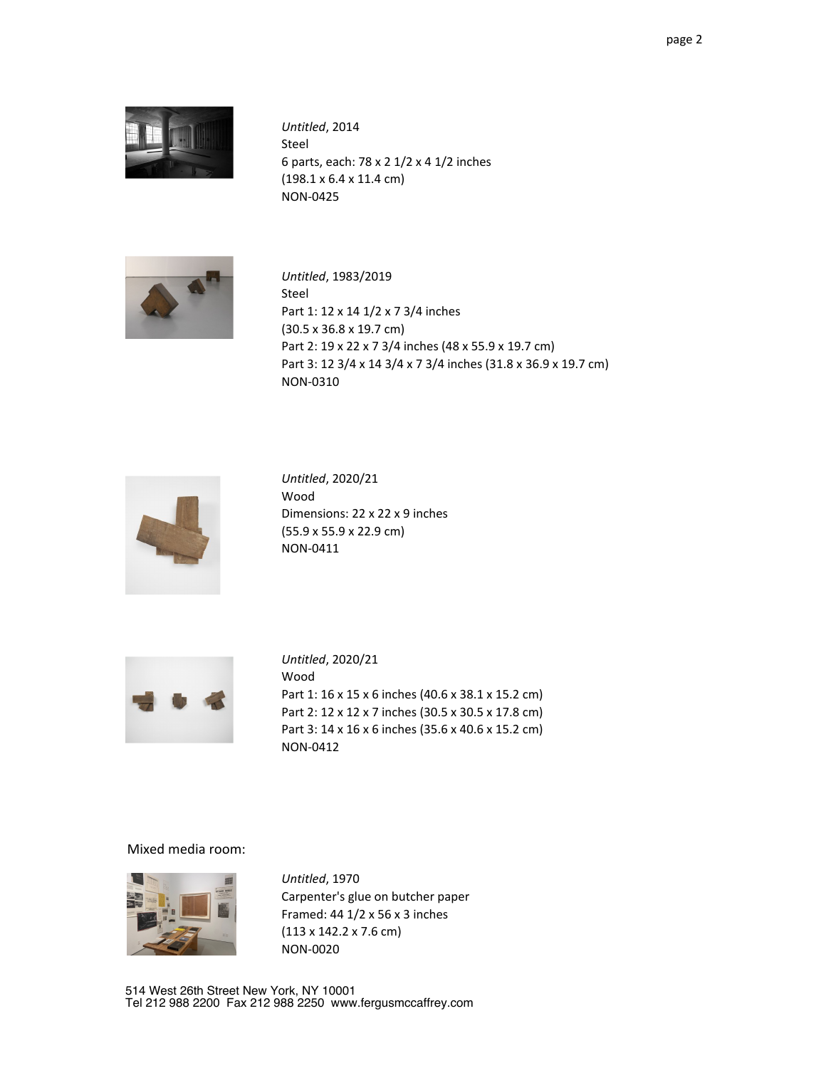*Untitled*, 2014 Steel 6 parts, each: 78 x 2 1/2 x 4 1/2 inches (198.1 x 6.4 x 11.4 cm) NON-0425



*Untitled*, 1983/2019 Steel Part 1: 12 x 14 1/2 x 7 3/4 inches (30.5 x 36.8 x 19.7 cm) Part 2: 19 x 22 x 7 3/4 inches (48 x 55.9 x 19.7 cm) Part 3: 12 3/4 x 14 3/4 x 7 3/4 inches (31.8 x 36.9 x 19.7 cm) NON-0310



*Untitled*, 2020/21 Wood Dimensions: 22 x 22 x 9 inches (55.9 x 55.9 x 22.9 cm) NON-0411



*Untitled*, 2020/21 Wood Part 1: 16 x 15 x 6 inches (40.6 x 38.1 x 15.2 cm) Part 2: 12 x 12 x 7 inches (30.5 x 30.5 x 17.8 cm) Part 3: 14 x 16 x 6 inches (35.6 x 40.6 x 15.2 cm) NON-0412

Mixed media room:



*Untitled*, 1970 Carpenter's glue on butcher paper Framed: 44 1/2 x 56 x 3 inches (113 x 142.2 x 7.6 cm) NON-0020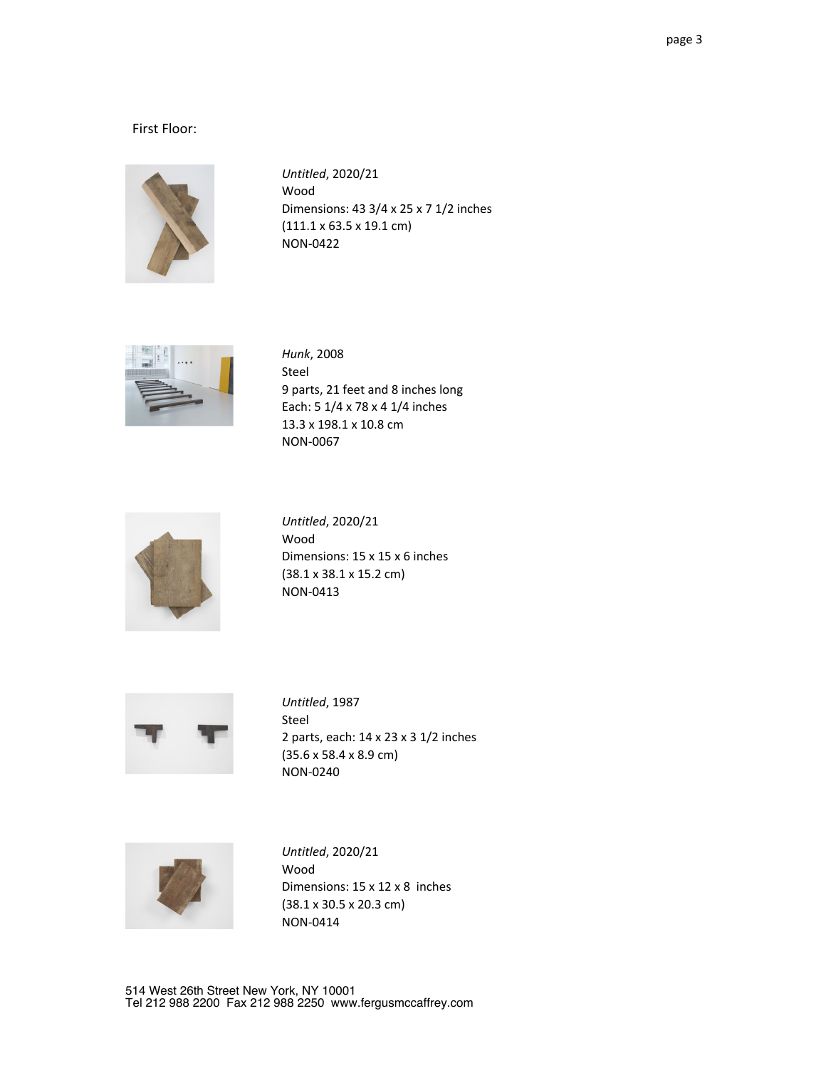## First Floor:



*Untitled*, 2020/21 Wood Dimensions: 43 3/4 x 25 x 7 1/2 inches (111.1 x 63.5 x 19.1 cm) NON-0422



*Hunk*, 2008 Steel 9 parts, 21 feet and 8 inches long Each: 5 1/4 x 78 x 4 1/4 inches 13.3 x 198.1 x 10.8 cm NON-0067



*Untitled*, 2020/21 Wood Dimensions: 15 x 15 x 6 inches (38.1 x 38.1 x 15.2 cm) NON-0413



*Untitled*, 1987 Steel 2 parts, each: 14 x 23 x 3 1/2 inches (35.6 x 58.4 x 8.9 cm) NON-0240



*Untitled*, 2020/21 Wood Dimensions: 15 x 12 x 8 inches (38.1 x 30.5 x 20.3 cm) NON-0414